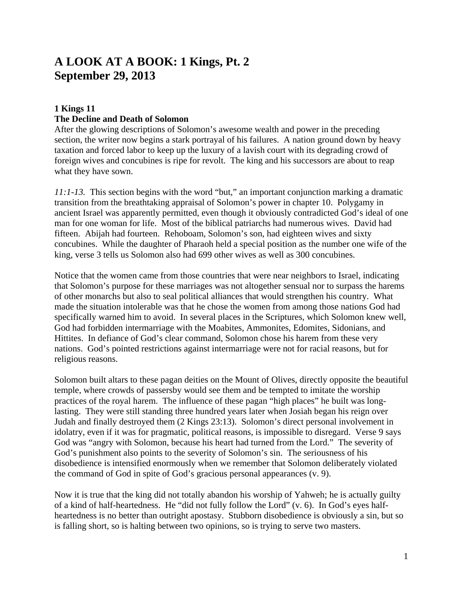# **A LOOK AT A BOOK: 1 Kings, Pt. 2 September 29, 2013**

# **1 Kings 11**

#### **The Decline and Death of Solomon**

After the glowing descriptions of Solomon's awesome wealth and power in the preceding section, the writer now begins a stark portrayal of his failures. A nation ground down by heavy taxation and forced labor to keep up the luxury of a lavish court with its degrading crowd of foreign wives and concubines is ripe for revolt. The king and his successors are about to reap what they have sown.

*11:1-13.* This section begins with the word "but," an important conjunction marking a dramatic transition from the breathtaking appraisal of Solomon's power in chapter 10. Polygamy in ancient Israel was apparently permitted, even though it obviously contradicted God's ideal of one man for one woman for life. Most of the biblical patriarchs had numerous wives. David had fifteen. Abijah had fourteen. Rehoboam, Solomon's son, had eighteen wives and sixty concubines. While the daughter of Pharaoh held a special position as the number one wife of the king, verse 3 tells us Solomon also had 699 other wives as well as 300 concubines.

Notice that the women came from those countries that were near neighbors to Israel, indicating that Solomon's purpose for these marriages was not altogether sensual nor to surpass the harems of other monarchs but also to seal political alliances that would strengthen his country. What made the situation intolerable was that he chose the women from among those nations God had specifically warned him to avoid. In several places in the Scriptures, which Solomon knew well, God had forbidden intermarriage with the Moabites, Ammonites, Edomites, Sidonians, and Hittites. In defiance of God's clear command, Solomon chose his harem from these very nations. God's pointed restrictions against intermarriage were not for racial reasons, but for religious reasons.

Solomon built altars to these pagan deities on the Mount of Olives, directly opposite the beautiful temple, where crowds of passersby would see them and be tempted to imitate the worship practices of the royal harem. The influence of these pagan "high places" he built was longlasting. They were still standing three hundred years later when Josiah began his reign over Judah and finally destroyed them (2 Kings 23:13). Solomon's direct personal involvement in idolatry, even if it was for pragmatic, political reasons, is impossible to disregard. Verse 9 says God was "angry with Solomon, because his heart had turned from the Lord." The severity of God's punishment also points to the severity of Solomon's sin. The seriousness of his disobedience is intensified enormously when we remember that Solomon deliberately violated the command of God in spite of God's gracious personal appearances (v. 9).

Now it is true that the king did not totally abandon his worship of Yahweh; he is actually guilty of a kind of half-heartedness. He "did not fully follow the Lord" (v. 6). In God's eyes halfheartedness is no better than outright apostasy. Stubborn disobedience is obviously a sin, but so is falling short, so is halting between two opinions, so is trying to serve two masters.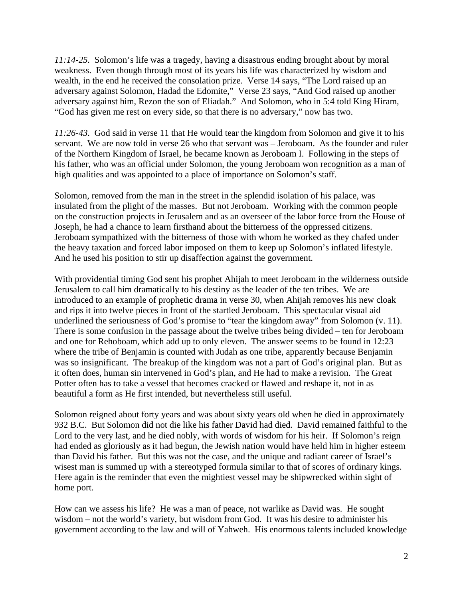*11:14-25.* Solomon's life was a tragedy, having a disastrous ending brought about by moral weakness. Even though through most of its years his life was characterized by wisdom and wealth, in the end he received the consolation prize. Verse 14 says, "The Lord raised up an adversary against Solomon, Hadad the Edomite," Verse 23 says, "And God raised up another adversary against him, Rezon the son of Eliadah." And Solomon, who in 5:4 told King Hiram, "God has given me rest on every side, so that there is no adversary," now has two.

*11:26-43.* God said in verse 11 that He would tear the kingdom from Solomon and give it to his servant. We are now told in verse 26 who that servant was – Jeroboam. As the founder and ruler of the Northern Kingdom of Israel, he became known as Jeroboam I. Following in the steps of his father, who was an official under Solomon, the young Jeroboam won recognition as a man of high qualities and was appointed to a place of importance on Solomon's staff.

Solomon, removed from the man in the street in the splendid isolation of his palace, was insulated from the plight of the masses. But not Jeroboam. Working with the common people on the construction projects in Jerusalem and as an overseer of the labor force from the House of Joseph, he had a chance to learn firsthand about the bitterness of the oppressed citizens. Jeroboam sympathized with the bitterness of those with whom he worked as they chafed under the heavy taxation and forced labor imposed on them to keep up Solomon's inflated lifestyle. And he used his position to stir up disaffection against the government.

With providential timing God sent his prophet Ahijah to meet Jeroboam in the wilderness outside Jerusalem to call him dramatically to his destiny as the leader of the ten tribes. We are introduced to an example of prophetic drama in verse 30, when Ahijah removes his new cloak and rips it into twelve pieces in front of the startled Jeroboam. This spectacular visual aid underlined the seriousness of God's promise to "tear the kingdom away" from Solomon (v. 11). There is some confusion in the passage about the twelve tribes being divided – ten for Jeroboam and one for Rehoboam, which add up to only eleven. The answer seems to be found in 12:23 where the tribe of Benjamin is counted with Judah as one tribe, apparently because Benjamin was so insignificant. The breakup of the kingdom was not a part of God's original plan. But as it often does, human sin intervened in God's plan, and He had to make a revision. The Great Potter often has to take a vessel that becomes cracked or flawed and reshape it, not in as beautiful a form as He first intended, but nevertheless still useful.

Solomon reigned about forty years and was about sixty years old when he died in approximately 932 B.C. But Solomon did not die like his father David had died. David remained faithful to the Lord to the very last, and he died nobly, with words of wisdom for his heir. If Solomon's reign had ended as gloriously as it had begun, the Jewish nation would have held him in higher esteem than David his father. But this was not the case, and the unique and radiant career of Israel's wisest man is summed up with a stereotyped formula similar to that of scores of ordinary kings. Here again is the reminder that even the mightiest vessel may be shipwrecked within sight of home port.

How can we assess his life? He was a man of peace, not warlike as David was. He sought wisdom – not the world's variety, but wisdom from God. It was his desire to administer his government according to the law and will of Yahweh. His enormous talents included knowledge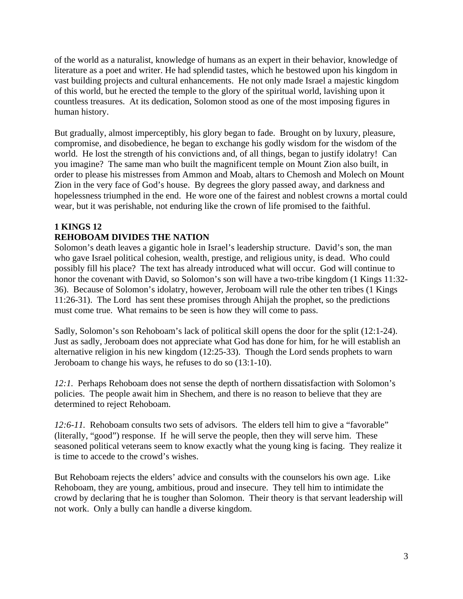of the world as a naturalist, knowledge of humans as an expert in their behavior, knowledge of literature as a poet and writer. He had splendid tastes, which he bestowed upon his kingdom in vast building projects and cultural enhancements. He not only made Israel a majestic kingdom of this world, but he erected the temple to the glory of the spiritual world, lavishing upon it countless treasures. At its dedication, Solomon stood as one of the most imposing figures in human history.

But gradually, almost imperceptibly, his glory began to fade. Brought on by luxury, pleasure, compromise, and disobedience, he began to exchange his godly wisdom for the wisdom of the world. He lost the strength of his convictions and, of all things, began to justify idolatry! Can you imagine? The same man who built the magnificent temple on Mount Zion also built, in order to please his mistresses from Ammon and Moab, altars to Chemosh and Molech on Mount Zion in the very face of God's house. By degrees the glory passed away, and darkness and hopelessness triumphed in the end. He wore one of the fairest and noblest crowns a mortal could wear, but it was perishable, not enduring like the crown of life promised to the faithful.

# **1 KINGS 12**

# **REHOBOAM DIVIDES THE NATION**

Solomon's death leaves a gigantic hole in Israel's leadership structure. David's son, the man who gave Israel political cohesion, wealth, prestige, and religious unity, is dead. Who could possibly fill his place? The text has already introduced what will occur. God will continue to honor the covenant with David, so Solomon's son will have a two-tribe kingdom (1 Kings 11:32- 36). Because of Solomon's idolatry, however, Jeroboam will rule the other ten tribes (1 Kings 11:26-31). The Lord has sent these promises through Ahijah the prophet, so the predictions must come true. What remains to be seen is how they will come to pass.

Sadly, Solomon's son Rehoboam's lack of political skill opens the door for the split (12:1-24). Just as sadly, Jeroboam does not appreciate what God has done for him, for he will establish an alternative religion in his new kingdom (12:25-33). Though the Lord sends prophets to warn Jeroboam to change his ways, he refuses to do so (13:1-10).

*12:1.* Perhaps Rehoboam does not sense the depth of northern dissatisfaction with Solomon's policies. The people await him in Shechem, and there is no reason to believe that they are determined to reject Rehoboam.

*12:6-11.* Rehoboam consults two sets of advisors. The elders tell him to give a "favorable" (literally, "good") response. If he will serve the people, then they will serve him. These seasoned political veterans seem to know exactly what the young king is facing. They realize it is time to accede to the crowd's wishes.

But Rehoboam rejects the elders' advice and consults with the counselors his own age. Like Rehoboam, they are young, ambitious, proud and insecure. They tell him to intimidate the crowd by declaring that he is tougher than Solomon. Their theory is that servant leadership will not work. Only a bully can handle a diverse kingdom.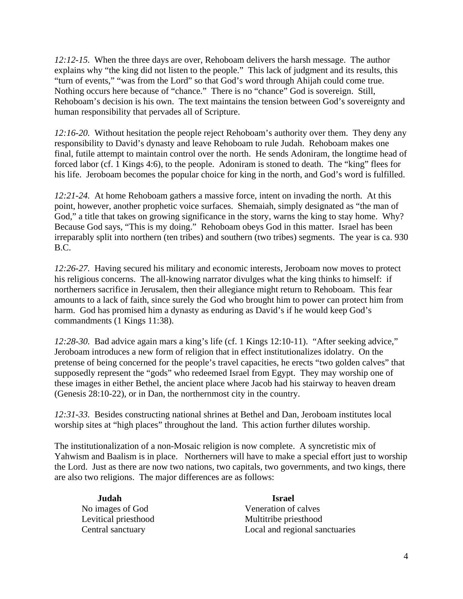*12:12-15.* When the three days are over, Rehoboam delivers the harsh message. The author explains why "the king did not listen to the people." This lack of judgment and its results, this "turn of events," "was from the Lord" so that God's word through Ahijah could come true. Nothing occurs here because of "chance." There is no "chance" God is sovereign. Still, Rehoboam's decision is his own. The text maintains the tension between God's sovereignty and human responsibility that pervades all of Scripture.

*12:16-20.* Without hesitation the people reject Rehoboam's authority over them. They deny any responsibility to David's dynasty and leave Rehoboam to rule Judah. Rehoboam makes one final, futile attempt to maintain control over the north. He sends Adoniram, the longtime head of forced labor (cf. 1 Kings 4:6), to the people. Adoniram is stoned to death. The "king" flees for his life. Jeroboam becomes the popular choice for king in the north, and God's word is fulfilled.

*12:21-24.* At home Rehoboam gathers a massive force, intent on invading the north. At this point, however, another prophetic voice surfaces. Shemaiah, simply designated as "the man of God," a title that takes on growing significance in the story, warns the king to stay home. Why? Because God says, "This is my doing." Rehoboam obeys God in this matter. Israel has been irreparably split into northern (ten tribes) and southern (two tribes) segments. The year is ca. 930 B.C.

*12:26-27.* Having secured his military and economic interests, Jeroboam now moves to protect his religious concerns. The all-knowing narrator divulges what the king thinks to himself: if northerners sacrifice in Jerusalem, then their allegiance might return to Rehoboam. This fear amounts to a lack of faith, since surely the God who brought him to power can protect him from harm. God has promised him a dynasty as enduring as David's if he would keep God's commandments (1 Kings 11:38).

*12:28-30.* Bad advice again mars a king's life (cf. 1 Kings 12:10-11). "After seeking advice," Jeroboam introduces a new form of religion that in effect institutionalizes idolatry. On the pretense of being concerned for the people's travel capacities, he erects "two golden calves" that supposedly represent the "gods" who redeemed Israel from Egypt. They may worship one of these images in either Bethel, the ancient place where Jacob had his stairway to heaven dream (Genesis 28:10-22), or in Dan, the northernmost city in the country.

*12:31-33.* Besides constructing national shrines at Bethel and Dan, Jeroboam institutes local worship sites at "high places" throughout the land. This action further dilutes worship.

The institutionalization of a non-Mosaic religion is now complete. A syncretistic mix of Yahwism and Baalism is in place. Northerners will have to make a special effort just to worship the Lord. Just as there are now two nations, two capitals, two governments, and two kings, there are also two religions. The major differences are as follows:

| Judah                | <b>Israel</b>                  |
|----------------------|--------------------------------|
| No images of God     | Veneration of calves           |
| Levitical priesthood | Multitribe priesthood          |
| Central sanctuary    | Local and regional sanctuaries |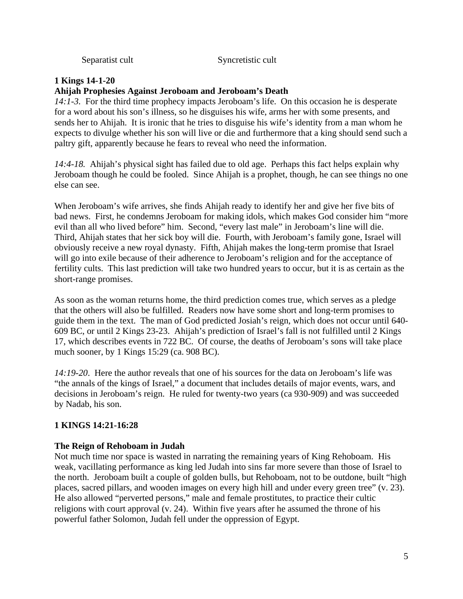| Separatist cult |
|-----------------|
|-----------------|

Syncretistic cult

#### **1 Kings 14-1-20**

#### **Ahijah Prophesies Against Jeroboam and Jeroboam's Death**

*14:1-3.* For the third time prophecy impacts Jeroboam's life. On this occasion he is desperate for a word about his son's illness, so he disguises his wife, arms her with some presents, and sends her to Ahijah. It is ironic that he tries to disguise his wife's identity from a man whom he expects to divulge whether his son will live or die and furthermore that a king should send such a paltry gift, apparently because he fears to reveal who need the information.

*14:4-18.* Ahijah's physical sight has failed due to old age. Perhaps this fact helps explain why Jeroboam though he could be fooled. Since Ahijah is a prophet, though, he can see things no one else can see.

When Jeroboam's wife arrives, she finds Ahijah ready to identify her and give her five bits of bad news. First, he condemns Jeroboam for making idols, which makes God consider him "more evil than all who lived before" him. Second, "every last male" in Jeroboam's line will die. Third, Ahijah states that her sick boy will die. Fourth, with Jeroboam's family gone, Israel will obviously receive a new royal dynasty. Fifth, Ahijah makes the long-term promise that Israel will go into exile because of their adherence to Jeroboam's religion and for the acceptance of fertility cults. This last prediction will take two hundred years to occur, but it is as certain as the short-range promises.

As soon as the woman returns home, the third prediction comes true, which serves as a pledge that the others will also be fulfilled. Readers now have some short and long-term promises to guide them in the text. The man of God predicted Josiah's reign, which does not occur until 640- 609 BC, or until 2 Kings 23-23. Ahijah's prediction of Israel's fall is not fulfilled until 2 Kings 17, which describes events in 722 BC. Of course, the deaths of Jeroboam's sons will take place much sooner, by 1 Kings 15:29 (ca. 908 BC).

*14:19-20*. Here the author reveals that one of his sources for the data on Jeroboam's life was "the annals of the kings of Israel," a document that includes details of major events, wars, and decisions in Jeroboam's reign. He ruled for twenty-two years (ca 930-909) and was succeeded by Nadab, his son.

#### **1 KINGS 14:21-16:28**

#### **The Reign of Rehoboam in Judah**

Not much time nor space is wasted in narrating the remaining years of King Rehoboam. His weak, vacillating performance as king led Judah into sins far more severe than those of Israel to the north. Jeroboam built a couple of golden bulls, but Rehoboam, not to be outdone, built "high places, sacred pillars, and wooden images on every high hill and under every green tree" (v. 23). He also allowed "perverted persons," male and female prostitutes, to practice their cultic religions with court approval (v. 24). Within five years after he assumed the throne of his powerful father Solomon, Judah fell under the oppression of Egypt.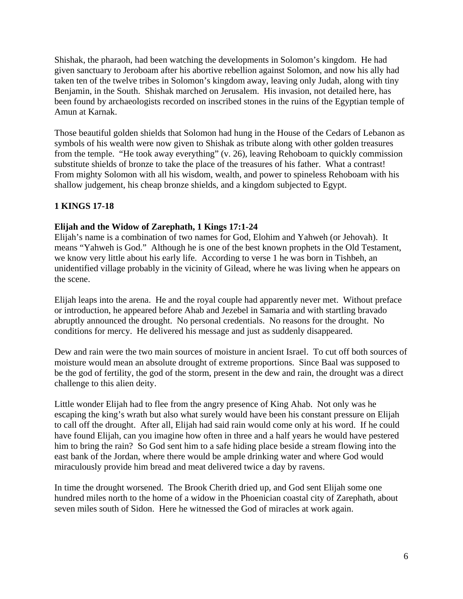Shishak, the pharaoh, had been watching the developments in Solomon's kingdom. He had given sanctuary to Jeroboam after his abortive rebellion against Solomon, and now his ally had taken ten of the twelve tribes in Solomon's kingdom away, leaving only Judah, along with tiny Benjamin, in the South. Shishak marched on Jerusalem. His invasion, not detailed here, has been found by archaeologists recorded on inscribed stones in the ruins of the Egyptian temple of Amun at Karnak.

Those beautiful golden shields that Solomon had hung in the House of the Cedars of Lebanon as symbols of his wealth were now given to Shishak as tribute along with other golden treasures from the temple. "He took away everything" (v. 26), leaving Rehoboam to quickly commission substitute shields of bronze to take the place of the treasures of his father. What a contrast! From mighty Solomon with all his wisdom, wealth, and power to spineless Rehoboam with his shallow judgement, his cheap bronze shields, and a kingdom subjected to Egypt.

# **1 KINGS 17-18**

#### **Elijah and the Widow of Zarephath, 1 Kings 17:1-24**

Elijah's name is a combination of two names for God, Elohim and Yahweh (or Jehovah). It means "Yahweh is God." Although he is one of the best known prophets in the Old Testament, we know very little about his early life. According to verse 1 he was born in Tishbeh, an unidentified village probably in the vicinity of Gilead, where he was living when he appears on the scene.

Elijah leaps into the arena. He and the royal couple had apparently never met. Without preface or introduction, he appeared before Ahab and Jezebel in Samaria and with startling bravado abruptly announced the drought. No personal credentials. No reasons for the drought. No conditions for mercy. He delivered his message and just as suddenly disappeared.

Dew and rain were the two main sources of moisture in ancient Israel. To cut off both sources of moisture would mean an absolute drought of extreme proportions. Since Baal was supposed to be the god of fertility, the god of the storm, present in the dew and rain, the drought was a direct challenge to this alien deity.

Little wonder Elijah had to flee from the angry presence of King Ahab. Not only was he escaping the king's wrath but also what surely would have been his constant pressure on Elijah to call off the drought. After all, Elijah had said rain would come only at his word. If he could have found Elijah, can you imagine how often in three and a half years he would have pestered him to bring the rain? So God sent him to a safe hiding place beside a stream flowing into the east bank of the Jordan, where there would be ample drinking water and where God would miraculously provide him bread and meat delivered twice a day by ravens.

In time the drought worsened. The Brook Cherith dried up, and God sent Elijah some one hundred miles north to the home of a widow in the Phoenician coastal city of Zarephath, about seven miles south of Sidon. Here he witnessed the God of miracles at work again.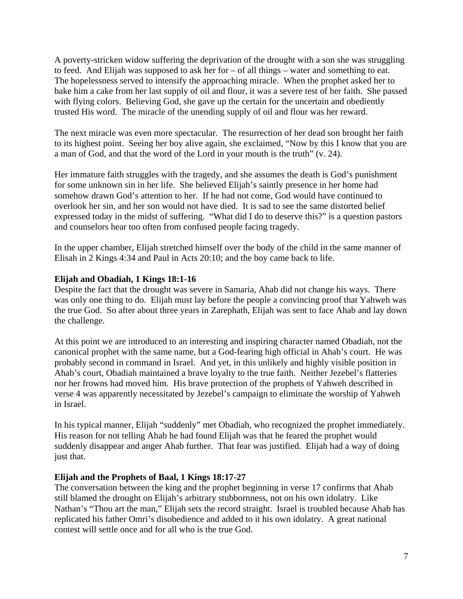A poverty-stricken widow suffering the deprivation of the drought with a son she was struggling to feed. And Elijah was supposed to ask her for – of all things – water and something to eat. The hopelessness served to intensify the approaching miracle. When the prophet asked her to bake him a cake from her last supply of oil and flour, it was a severe test of her faith. She passed with flying colors. Believing God, she gave up the certain for the uncertain and obediently trusted His word. The miracle of the unending supply of oil and flour was her reward.

The next miracle was even more spectacular. The resurrection of her dead son brought her faith to its highest point. Seeing her boy alive again, she exclaimed, "Now by this I know that you are a man of God, and that the word of the Lord in your mouth is the truth" (v. 24).

Her immature faith struggles with the tragedy, and she assumes the death is God's punishment for some unknown sin in her life. She believed Elijah's saintly presence in her home had somehow drawn God's attention to her. If he had not come, God would have continued to overlook her sin, and her son would not have died. It is sad to see the same distorted belief expressed today in the midst of suffering. "What did I do to deserve this?" is a question pastors and counselors hear too often from confused people facing tragedy.

In the upper chamber, Elijah stretched himself over the body of the child in the same manner of Elisah in 2 Kings 4:34 and Paul in Acts 20:10; and the boy came back to life.

#### **Elijah and Obadiah, 1 Kings 18:1-16**

Despite the fact that the drought was severe in Samaria, Ahab did not change his ways. There was only one thing to do. Elijah must lay before the people a convincing proof that Yahweh was the true God. So after about three years in Zarephath, Elijah was sent to face Ahab and lay down the challenge.

At this point we are introduced to an interesting and inspiring character named Obadiah, not the canonical prophet with the same name, but a God-fearing high official in Ahab's court. He was probably second in command in Israel. And yet, in this unlikely and highly visible position in Ahab's court, Obadiah maintained a brave loyalty to the true faith. Neither Jezebel's flatteries nor her frowns had moved him. His brave protection of the prophets of Yahweh described in verse 4 was apparently necessitated by Jezebel's campaign to eliminate the worship of Yahweh in Israel.

In his typical manner, Elijah "suddenly" met Obadiah, who recognized the prophet immediately. His reason for not telling Ahab he had found Elijah was that he feared the prophet would suddenly disappear and anger Ahab further. That fear was justified. Elijah had a way of doing just that.

#### **Elijah and the Prophets of Baal, 1 Kings 18:17-27**

The conversation between the king and the prophet beginning in verse 17 confirms that Ahab still blamed the drought on Elijah's arbitrary stubbornness, not on his own idolatry. Like Nathan's "Thou art the man," Elijah sets the record straight. Israel is troubled because Ahab has replicated his father Omri's disobedience and added to it his own idolatry. A great national contest will settle once and for all who is the true God.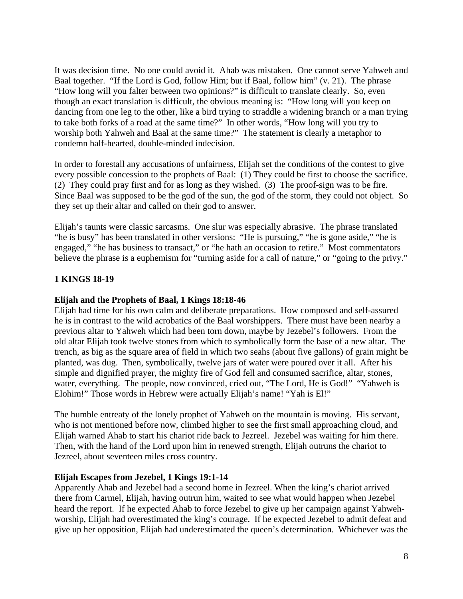It was decision time. No one could avoid it. Ahab was mistaken. One cannot serve Yahweh and Baal together. "If the Lord is God, follow Him; but if Baal, follow him" (v. 21). The phrase "How long will you falter between two opinions?" is difficult to translate clearly. So, even though an exact translation is difficult, the obvious meaning is: "How long will you keep on dancing from one leg to the other, like a bird trying to straddle a widening branch or a man trying to take both forks of a road at the same time?" In other words, "How long will you try to worship both Yahweh and Baal at the same time?" The statement is clearly a metaphor to condemn half-hearted, double-minded indecision.

In order to forestall any accusations of unfairness, Elijah set the conditions of the contest to give every possible concession to the prophets of Baal: (1) They could be first to choose the sacrifice. (2) They could pray first and for as long as they wished. (3) The proof-sign was to be fire. Since Baal was supposed to be the god of the sun, the god of the storm, they could not object. So they set up their altar and called on their god to answer.

Elijah's taunts were classic sarcasms. One slur was especially abrasive. The phrase translated "he is busy" has been translated in other versions: "He is pursuing," "he is gone aside," "he is engaged," "he has business to transact," or "he hath an occasion to retire." Most commentators believe the phrase is a euphemism for "turning aside for a call of nature," or "going to the privy."

### **1 KINGS 18-19**

#### **Elijah and the Prophets of Baal, 1 Kings 18:18-46**

Elijah had time for his own calm and deliberate preparations. How composed and self-assured he is in contrast to the wild acrobatics of the Baal worshippers. There must have been nearby a previous altar to Yahweh which had been torn down, maybe by Jezebel's followers. From the old altar Elijah took twelve stones from which to symbolically form the base of a new altar. The trench, as big as the square area of field in which two seahs (about five gallons) of grain might be planted, was dug. Then, symbolically, twelve jars of water were poured over it all. After his simple and dignified prayer, the mighty fire of God fell and consumed sacrifice, altar, stones, water, everything. The people, now convinced, cried out, "The Lord, He is God!" "Yahweh is Elohim!" Those words in Hebrew were actually Elijah's name! "Yah is El!"

The humble entreaty of the lonely prophet of Yahweh on the mountain is moving. His servant, who is not mentioned before now, climbed higher to see the first small approaching cloud, and Elijah warned Ahab to start his chariot ride back to Jezreel. Jezebel was waiting for him there. Then, with the hand of the Lord upon him in renewed strength, Elijah outruns the chariot to Jezreel, about seventeen miles cross country.

#### **Elijah Escapes from Jezebel, 1 Kings 19:1-14**

Apparently Ahab and Jezebel had a second home in Jezreel. When the king's chariot arrived there from Carmel, Elijah, having outrun him, waited to see what would happen when Jezebel heard the report. If he expected Ahab to force Jezebel to give up her campaign against Yahwehworship, Elijah had overestimated the king's courage. If he expected Jezebel to admit defeat and give up her opposition, Elijah had underestimated the queen's determination. Whichever was the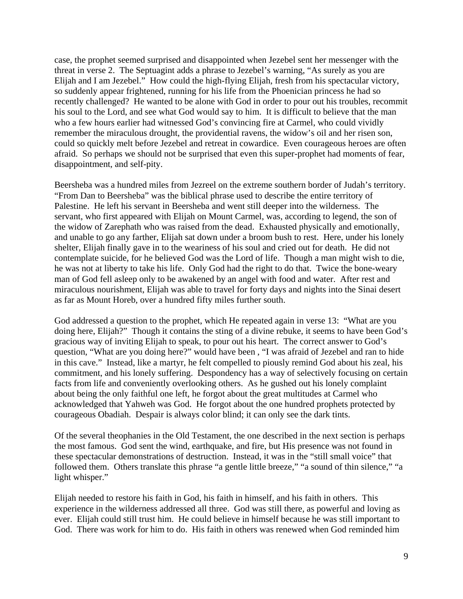case, the prophet seemed surprised and disappointed when Jezebel sent her messenger with the threat in verse 2. The Septuagint adds a phrase to Jezebel's warning, "As surely as you are Elijah and I am Jezebel." How could the high-flying Elijah, fresh from his spectacular victory, so suddenly appear frightened, running for his life from the Phoenician princess he had so recently challenged? He wanted to be alone with God in order to pour out his troubles, recommit his soul to the Lord, and see what God would say to him. It is difficult to believe that the man who a few hours earlier had witnessed God's convincing fire at Carmel, who could vividly remember the miraculous drought, the providential ravens, the widow's oil and her risen son, could so quickly melt before Jezebel and retreat in cowardice. Even courageous heroes are often afraid. So perhaps we should not be surprised that even this super-prophet had moments of fear, disappointment, and self-pity.

Beersheba was a hundred miles from Jezreel on the extreme southern border of Judah's territory. "From Dan to Beersheba" was the biblical phrase used to describe the entire territory of Palestine. He left his servant in Beersheba and went still deeper into the wilderness. The servant, who first appeared with Elijah on Mount Carmel, was, according to legend, the son of the widow of Zarephath who was raised from the dead. Exhausted physically and emotionally, and unable to go any farther, Elijah sat down under a broom bush to rest. Here, under his lonely shelter, Elijah finally gave in to the weariness of his soul and cried out for death. He did not contemplate suicide, for he believed God was the Lord of life. Though a man might wish to die, he was not at liberty to take his life. Only God had the right to do that. Twice the bone-weary man of God fell asleep only to be awakened by an angel with food and water. After rest and miraculous nourishment, Elijah was able to travel for forty days and nights into the Sinai desert as far as Mount Horeb, over a hundred fifty miles further south.

God addressed a question to the prophet, which He repeated again in verse 13: "What are you doing here, Elijah?" Though it contains the sting of a divine rebuke, it seems to have been God's gracious way of inviting Elijah to speak, to pour out his heart. The correct answer to God's question, "What are you doing here?" would have been , "I was afraid of Jezebel and ran to hide in this cave." Instead, like a martyr, he felt compelled to piously remind God about his zeal, his commitment, and his lonely suffering. Despondency has a way of selectively focusing on certain facts from life and conveniently overlooking others. As he gushed out his lonely complaint about being the only faithful one left, he forgot about the great multitudes at Carmel who acknowledged that Yahweh was God. He forgot about the one hundred prophets protected by courageous Obadiah. Despair is always color blind; it can only see the dark tints.

Of the several theophanies in the Old Testament, the one described in the next section is perhaps the most famous. God sent the wind, earthquake, and fire, but His presence was not found in these spectacular demonstrations of destruction. Instead, it was in the "still small voice" that followed them. Others translate this phrase "a gentle little breeze," "a sound of thin silence," "a light whisper."

Elijah needed to restore his faith in God, his faith in himself, and his faith in others. This experience in the wilderness addressed all three. God was still there, as powerful and loving as ever. Elijah could still trust him. He could believe in himself because he was still important to God. There was work for him to do. His faith in others was renewed when God reminded him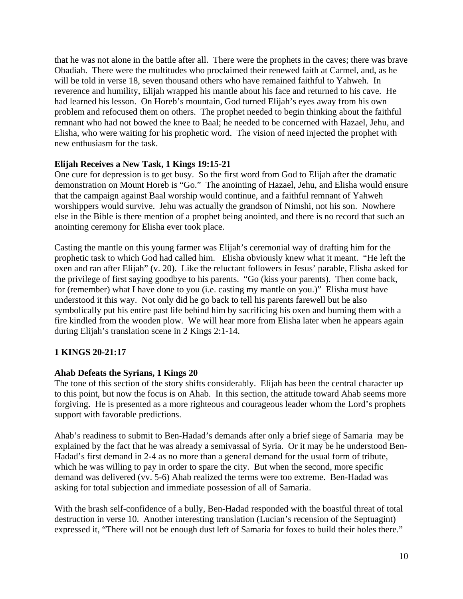that he was not alone in the battle after all. There were the prophets in the caves; there was brave Obadiah. There were the multitudes who proclaimed their renewed faith at Carmel, and, as he will be told in verse 18, seven thousand others who have remained faithful to Yahweh. In reverence and humility, Elijah wrapped his mantle about his face and returned to his cave. He had learned his lesson. On Horeb's mountain, God turned Elijah's eyes away from his own problem and refocused them on others. The prophet needed to begin thinking about the faithful remnant who had not bowed the knee to Baal; he needed to be concerned with Hazael, Jehu, and Elisha, who were waiting for his prophetic word. The vision of need injected the prophet with new enthusiasm for the task.

#### **Elijah Receives a New Task, 1 Kings 19:15-21**

One cure for depression is to get busy. So the first word from God to Elijah after the dramatic demonstration on Mount Horeb is "Go." The anointing of Hazael, Jehu, and Elisha would ensure that the campaign against Baal worship would continue, and a faithful remnant of Yahweh worshippers would survive. Jehu was actually the grandson of Nimshi, not his son. Nowhere else in the Bible is there mention of a prophet being anointed, and there is no record that such an anointing ceremony for Elisha ever took place.

Casting the mantle on this young farmer was Elijah's ceremonial way of drafting him for the prophetic task to which God had called him. Elisha obviously knew what it meant. "He left the oxen and ran after Elijah" (v. 20). Like the reluctant followers in Jesus' parable, Elisha asked for the privilege of first saying goodbye to his parents. "Go (kiss your parents). Then come back, for (remember) what I have done to you (i.e. casting my mantle on you.)" Elisha must have understood it this way. Not only did he go back to tell his parents farewell but he also symbolically put his entire past life behind him by sacrificing his oxen and burning them with a fire kindled from the wooden plow. We will hear more from Elisha later when he appears again during Elijah's translation scene in 2 Kings 2:1-14.

#### **1 KINGS 20-21:17**

#### **Ahab Defeats the Syrians, 1 Kings 20**

The tone of this section of the story shifts considerably. Elijah has been the central character up to this point, but now the focus is on Ahab. In this section, the attitude toward Ahab seems more forgiving. He is presented as a more righteous and courageous leader whom the Lord's prophets support with favorable predictions.

Ahab's readiness to submit to Ben-Hadad's demands after only a brief siege of Samaria may be explained by the fact that he was already a semivassal of Syria. Or it may be he understood Ben-Hadad's first demand in 2-4 as no more than a general demand for the usual form of tribute, which he was willing to pay in order to spare the city. But when the second, more specific demand was delivered (vv. 5-6) Ahab realized the terms were too extreme. Ben-Hadad was asking for total subjection and immediate possession of all of Samaria.

With the brash self-confidence of a bully, Ben-Hadad responded with the boastful threat of total destruction in verse 10. Another interesting translation (Lucian's recension of the Septuagint) expressed it, "There will not be enough dust left of Samaria for foxes to build their holes there."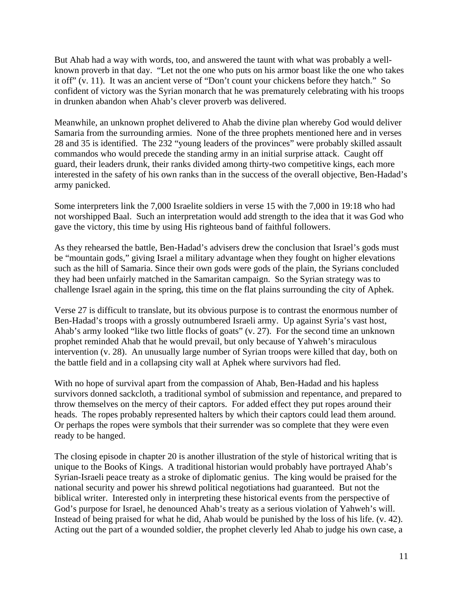But Ahab had a way with words, too, and answered the taunt with what was probably a wellknown proverb in that day. "Let not the one who puts on his armor boast like the one who takes it off" (v. 11). It was an ancient verse of "Don't count your chickens before they hatch." So confident of victory was the Syrian monarch that he was prematurely celebrating with his troops in drunken abandon when Ahab's clever proverb was delivered.

Meanwhile, an unknown prophet delivered to Ahab the divine plan whereby God would deliver Samaria from the surrounding armies. None of the three prophets mentioned here and in verses 28 and 35 is identified. The 232 "young leaders of the provinces" were probably skilled assault commandos who would precede the standing army in an initial surprise attack. Caught off guard, their leaders drunk, their ranks divided among thirty-two competitive kings, each more interested in the safety of his own ranks than in the success of the overall objective, Ben-Hadad's army panicked.

Some interpreters link the 7,000 Israelite soldiers in verse 15 with the 7,000 in 19:18 who had not worshipped Baal. Such an interpretation would add strength to the idea that it was God who gave the victory, this time by using His righteous band of faithful followers.

As they rehearsed the battle, Ben-Hadad's advisers drew the conclusion that Israel's gods must be "mountain gods," giving Israel a military advantage when they fought on higher elevations such as the hill of Samaria. Since their own gods were gods of the plain, the Syrians concluded they had been unfairly matched in the Samaritan campaign. So the Syrian strategy was to challenge Israel again in the spring, this time on the flat plains surrounding the city of Aphek.

Verse 27 is difficult to translate, but its obvious purpose is to contrast the enormous number of Ben-Hadad's troops with a grossly outnumbered Israeli army. Up against Syria's vast host, Ahab's army looked "like two little flocks of goats" (v. 27). For the second time an unknown prophet reminded Ahab that he would prevail, but only because of Yahweh's miraculous intervention (v. 28). An unusually large number of Syrian troops were killed that day, both on the battle field and in a collapsing city wall at Aphek where survivors had fled.

With no hope of survival apart from the compassion of Ahab, Ben-Hadad and his hapless survivors donned sackcloth, a traditional symbol of submission and repentance, and prepared to throw themselves on the mercy of their captors. For added effect they put ropes around their heads. The ropes probably represented halters by which their captors could lead them around. Or perhaps the ropes were symbols that their surrender was so complete that they were even ready to be hanged.

The closing episode in chapter 20 is another illustration of the style of historical writing that is unique to the Books of Kings. A traditional historian would probably have portrayed Ahab's Syrian-Israeli peace treaty as a stroke of diplomatic genius. The king would be praised for the national security and power his shrewd political negotiations had guaranteed. But not the biblical writer. Interested only in interpreting these historical events from the perspective of God's purpose for Israel, he denounced Ahab's treaty as a serious violation of Yahweh's will. Instead of being praised for what he did, Ahab would be punished by the loss of his life. (v. 42). Acting out the part of a wounded soldier, the prophet cleverly led Ahab to judge his own case, a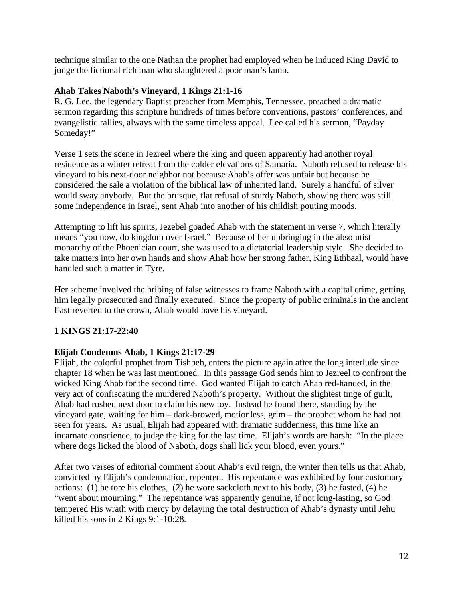technique similar to the one Nathan the prophet had employed when he induced King David to judge the fictional rich man who slaughtered a poor man's lamb.

#### **Ahab Takes Naboth's Vineyard, 1 Kings 21:1-16**

R. G. Lee, the legendary Baptist preacher from Memphis, Tennessee, preached a dramatic sermon regarding this scripture hundreds of times before conventions, pastors' conferences, and evangelistic rallies, always with the same timeless appeal. Lee called his sermon, "Payday Someday!"

Verse 1 sets the scene in Jezreel where the king and queen apparently had another royal residence as a winter retreat from the colder elevations of Samaria. Naboth refused to release his vineyard to his next-door neighbor not because Ahab's offer was unfair but because he considered the sale a violation of the biblical law of inherited land. Surely a handful of silver would sway anybody. But the brusque, flat refusal of sturdy Naboth, showing there was still some independence in Israel, sent Ahab into another of his childish pouting moods.

Attempting to lift his spirits, Jezebel goaded Ahab with the statement in verse 7, which literally means "you now, do kingdom over Israel." Because of her upbringing in the absolutist monarchy of the Phoenician court, she was used to a dictatorial leadership style. She decided to take matters into her own hands and show Ahab how her strong father, King Ethbaal, would have handled such a matter in Tyre.

Her scheme involved the bribing of false witnesses to frame Naboth with a capital crime, getting him legally prosecuted and finally executed. Since the property of public criminals in the ancient East reverted to the crown, Ahab would have his vineyard.

# **1 KINGS 21:17-22:40**

#### **Elijah Condemns Ahab, 1 Kings 21:17-29**

Elijah, the colorful prophet from Tishbeh, enters the picture again after the long interlude since chapter 18 when he was last mentioned. In this passage God sends him to Jezreel to confront the wicked King Ahab for the second time. God wanted Elijah to catch Ahab red-handed, in the very act of confiscating the murdered Naboth's property. Without the slightest tinge of guilt, Ahab had rushed next door to claim his new toy. Instead he found there, standing by the vineyard gate, waiting for him – dark-browed, motionless, grim – the prophet whom he had not seen for years. As usual, Elijah had appeared with dramatic suddenness, this time like an incarnate conscience, to judge the king for the last time. Elijah's words are harsh: "In the place where dogs licked the blood of Naboth, dogs shall lick your blood, even yours."

After two verses of editorial comment about Ahab's evil reign, the writer then tells us that Ahab, convicted by Elijah's condemnation, repented. His repentance was exhibited by four customary actions: (1) he tore his clothes, (2) he wore sackcloth next to his body, (3) he fasted, (4) he "went about mourning." The repentance was apparently genuine, if not long-lasting, so God tempered His wrath with mercy by delaying the total destruction of Ahab's dynasty until Jehu killed his sons in 2 Kings 9:1-10:28.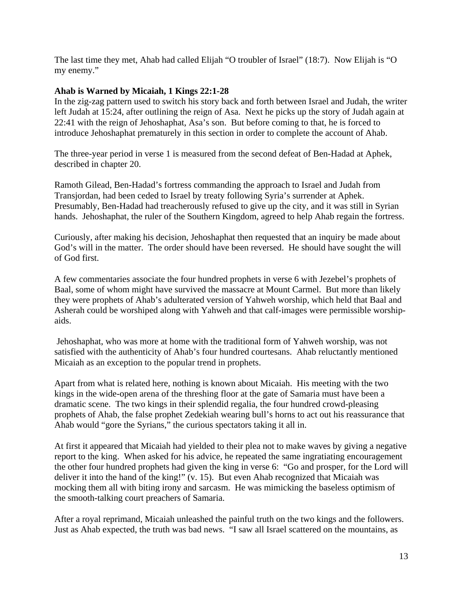The last time they met, Ahab had called Elijah "O troubler of Israel" (18:7). Now Elijah is "O my enemy."

#### **Ahab is Warned by Micaiah, 1 Kings 22:1-28**

In the zig-zag pattern used to switch his story back and forth between Israel and Judah, the writer left Judah at 15:24, after outlining the reign of Asa. Next he picks up the story of Judah again at 22:41 with the reign of Jehoshaphat, Asa's son. But before coming to that, he is forced to introduce Jehoshaphat prematurely in this section in order to complete the account of Ahab.

The three-year period in verse 1 is measured from the second defeat of Ben-Hadad at Aphek, described in chapter 20.

Ramoth Gilead, Ben-Hadad's fortress commanding the approach to Israel and Judah from Transjordan, had been ceded to Israel by treaty following Syria's surrender at Aphek. Presumably, Ben-Hadad had treacherously refused to give up the city, and it was still in Syrian hands. Jehoshaphat, the ruler of the Southern Kingdom, agreed to help Ahab regain the fortress.

Curiously, after making his decision, Jehoshaphat then requested that an inquiry be made about God's will in the matter. The order should have been reversed. He should have sought the will of God first.

A few commentaries associate the four hundred prophets in verse 6 with Jezebel's prophets of Baal, some of whom might have survived the massacre at Mount Carmel. But more than likely they were prophets of Ahab's adulterated version of Yahweh worship, which held that Baal and Asherah could be worshiped along with Yahweh and that calf-images were permissible worshipaids.

 Jehoshaphat, who was more at home with the traditional form of Yahweh worship, was not satisfied with the authenticity of Ahab's four hundred courtesans. Ahab reluctantly mentioned Micaiah as an exception to the popular trend in prophets.

Apart from what is related here, nothing is known about Micaiah. His meeting with the two kings in the wide-open arena of the threshing floor at the gate of Samaria must have been a dramatic scene. The two kings in their splendid regalia, the four hundred crowd-pleasing prophets of Ahab, the false prophet Zedekiah wearing bull's horns to act out his reassurance that Ahab would "gore the Syrians," the curious spectators taking it all in.

At first it appeared that Micaiah had yielded to their plea not to make waves by giving a negative report to the king. When asked for his advice, he repeated the same ingratiating encouragement the other four hundred prophets had given the king in verse 6: "Go and prosper, for the Lord will deliver it into the hand of the king!" (v. 15). But even Ahab recognized that Micaiah was mocking them all with biting irony and sarcasm. He was mimicking the baseless optimism of the smooth-talking court preachers of Samaria.

After a royal reprimand, Micaiah unleashed the painful truth on the two kings and the followers. Just as Ahab expected, the truth was bad news. "I saw all Israel scattered on the mountains, as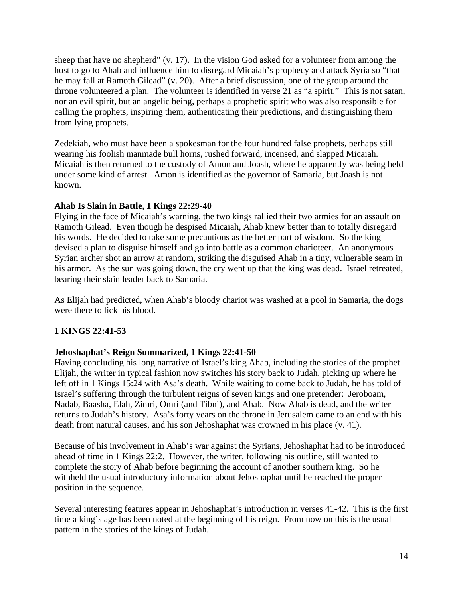sheep that have no shepherd" (v. 17). In the vision God asked for a volunteer from among the host to go to Ahab and influence him to disregard Micaiah's prophecy and attack Syria so "that he may fall at Ramoth Gilead" (v. 20). After a brief discussion, one of the group around the throne volunteered a plan. The volunteer is identified in verse 21 as "a spirit." This is not satan, nor an evil spirit, but an angelic being, perhaps a prophetic spirit who was also responsible for calling the prophets, inspiring them, authenticating their predictions, and distinguishing them from lying prophets.

Zedekiah, who must have been a spokesman for the four hundred false prophets, perhaps still wearing his foolish manmade bull horns, rushed forward, incensed, and slapped Micaiah. Micaiah is then returned to the custody of Amon and Joash, where he apparently was being held under some kind of arrest. Amon is identified as the governor of Samaria, but Joash is not known.

#### **Ahab Is Slain in Battle, 1 Kings 22:29-40**

Flying in the face of Micaiah's warning, the two kings rallied their two armies for an assault on Ramoth Gilead. Even though he despised Micaiah, Ahab knew better than to totally disregard his words. He decided to take some precautions as the better part of wisdom. So the king devised a plan to disguise himself and go into battle as a common charioteer. An anonymous Syrian archer shot an arrow at random, striking the disguised Ahab in a tiny, vulnerable seam in his armor. As the sun was going down, the cry went up that the king was dead. Israel retreated, bearing their slain leader back to Samaria.

As Elijah had predicted, when Ahab's bloody chariot was washed at a pool in Samaria, the dogs were there to lick his blood.

#### **1 KINGS 22:41-53**

#### **Jehoshaphat's Reign Summarized, 1 Kings 22:41-50**

Having concluding his long narrative of Israel's king Ahab, including the stories of the prophet Elijah, the writer in typical fashion now switches his story back to Judah, picking up where he left off in 1 Kings 15:24 with Asa's death. While waiting to come back to Judah, he has told of Israel's suffering through the turbulent reigns of seven kings and one pretender: Jeroboam, Nadab, Baasha, Elah, Zimri, Omri (and Tibni), and Ahab. Now Ahab is dead, and the writer returns to Judah's history. Asa's forty years on the throne in Jerusalem came to an end with his death from natural causes, and his son Jehoshaphat was crowned in his place (v. 41).

Because of his involvement in Ahab's war against the Syrians, Jehoshaphat had to be introduced ahead of time in 1 Kings 22:2. However, the writer, following his outline, still wanted to complete the story of Ahab before beginning the account of another southern king. So he withheld the usual introductory information about Jehoshaphat until he reached the proper position in the sequence.

Several interesting features appear in Jehoshaphat's introduction in verses 41-42. This is the first time a king's age has been noted at the beginning of his reign. From now on this is the usual pattern in the stories of the kings of Judah.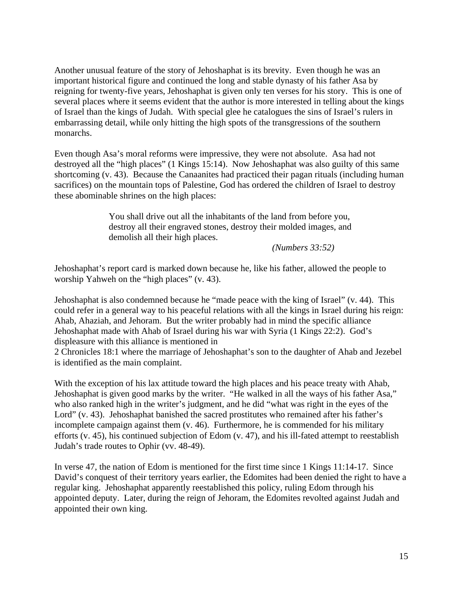Another unusual feature of the story of Jehoshaphat is its brevity. Even though he was an important historical figure and continued the long and stable dynasty of his father Asa by reigning for twenty-five years, Jehoshaphat is given only ten verses for his story. This is one of several places where it seems evident that the author is more interested in telling about the kings of Israel than the kings of Judah. With special glee he catalogues the sins of Israel's rulers in embarrassing detail, while only hitting the high spots of the transgressions of the southern monarchs.

Even though Asa's moral reforms were impressive, they were not absolute. Asa had not destroyed all the "high places" (1 Kings 15:14). Now Jehoshaphat was also guilty of this same shortcoming (v. 43). Because the Canaanites had practiced their pagan rituals (including human sacrifices) on the mountain tops of Palestine, God has ordered the children of Israel to destroy these abominable shrines on the high places:

> You shall drive out all the inhabitants of the land from before you, destroy all their engraved stones, destroy their molded images, and demolish all their high places.

> > *(Numbers 33:52)*

Jehoshaphat's report card is marked down because he, like his father, allowed the people to worship Yahweh on the "high places" (v. 43).

Jehoshaphat is also condemned because he "made peace with the king of Israel" (v. 44). This could refer in a general way to his peaceful relations with all the kings in Israel during his reign: Ahab, Ahaziah, and Jehoram. But the writer probably had in mind the specific alliance Jehoshaphat made with Ahab of Israel during his war with Syria (1 Kings 22:2). God's displeasure with this alliance is mentioned in

2 Chronicles 18:1 where the marriage of Jehoshaphat's son to the daughter of Ahab and Jezebel is identified as the main complaint.

With the exception of his lax attitude toward the high places and his peace treaty with Ahab, Jehoshaphat is given good marks by the writer. "He walked in all the ways of his father Asa," who also ranked high in the writer's judgment, and he did "what was right in the eyes of the Lord" (v. 43). Jehoshaphat banished the sacred prostitutes who remained after his father's incomplete campaign against them (v. 46). Furthermore, he is commended for his military efforts (v. 45), his continued subjection of Edom (v. 47), and his ill-fated attempt to reestablish Judah's trade routes to Ophir (vv. 48-49).

In verse 47, the nation of Edom is mentioned for the first time since 1 Kings 11:14-17. Since David's conquest of their territory years earlier, the Edomites had been denied the right to have a regular king. Jehoshaphat apparently reestablished this policy, ruling Edom through his appointed deputy. Later, during the reign of Jehoram, the Edomites revolted against Judah and appointed their own king.